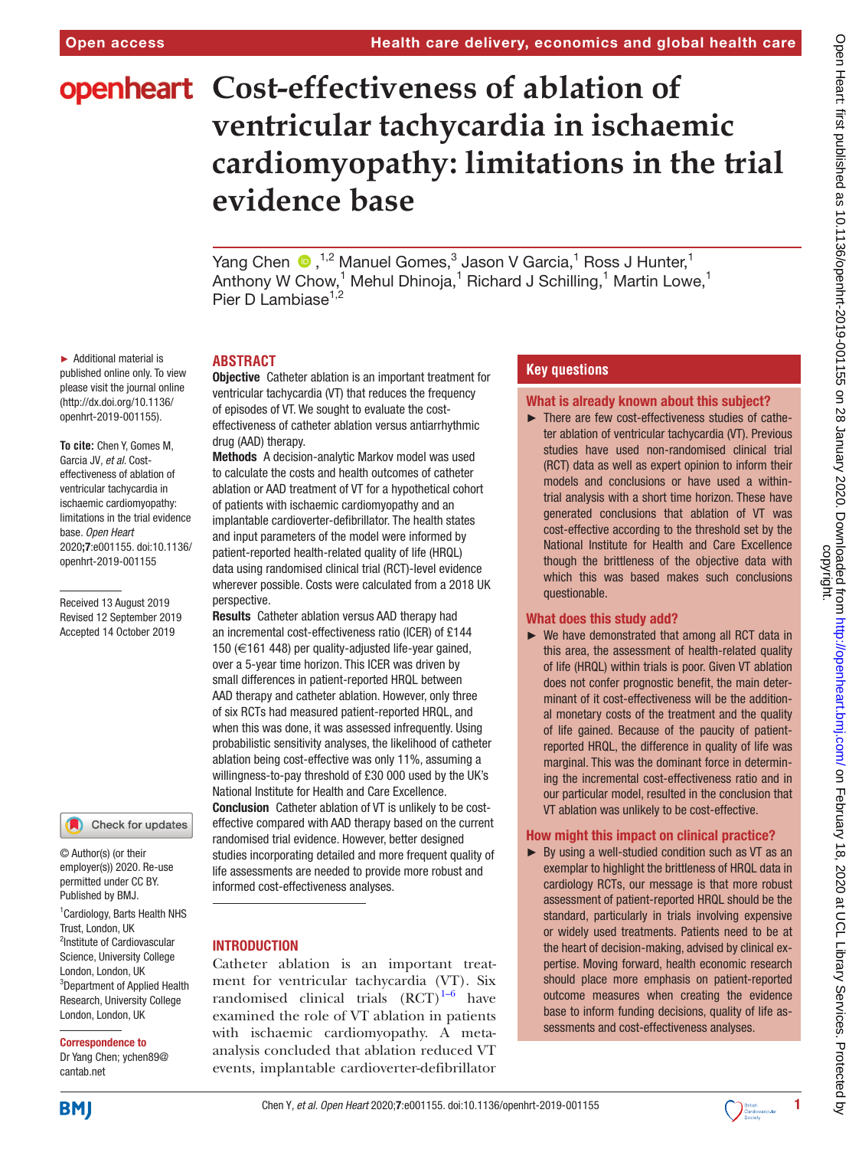# **openheart** Cost-effectiveness of ablation of **ventricular tachycardia in ischaemic cardiomyopathy: limitations in the trial evidence base**

YangChen  $\bullet$ , <sup>1,2</sup> Manuel Gomes,<sup>3</sup> Jason V Garcia,<sup>1</sup> Ross J Hunter,<sup>1</sup> Anthony W Chow,<sup>1</sup> Mehul Dhinoja,<sup>1</sup> Richard J Schilling,<sup>1</sup> Martin Lowe,<sup>1</sup> Pier D Lambiase $1,2$ 

► Additional material is published online only. To view please visit the journal online (http://dx.doi.org/10.1136/ openhrt-2019-001155).

**To cite:** Chen Y, Gomes M, Garcia JV*, et al*. Costeffectiveness of ablation of ventricular tachycardia in ischaemic cardiomyopathy: limitations in the trial evidence base*. Open Heart* 2020;7:e001155. doi:10.1136/ openhrt-2019-001155

Received 13 August 2019 Revised 12 September 2019 Accepted 14 October 2019

Check for updates

© Author(s) (or their employer(s)) 2020. Re-use permitted under CC BY. Published by BMJ.

1 Cardiology, Barts Health NHS Trust, London, UK <sup>2</sup>Institute of Cardiovascular Science, University College London, London, UK 3 Department of Applied Health Research, University College London, London, UK

#### Correspondence to

Dr Yang Chen; ychen89@ cantab.net

# **Abstract**

**Objective** Catheter ablation is an important treatment for ventricular tachycardia (VT) that reduces the frequency of episodes of VT. We sought to evaluate the costeffectiveness of catheter ablation versus antiarrhythmic drug (AAD) therapy.

Methods A decision-analytic Markov model was used to calculate the costs and health outcomes of catheter ablation or AAD treatment of VT for a hypothetical cohort of patients with ischaemic cardiomyopathy and an implantable cardioverter-defibrillator. The health states and input parameters of the model were informed by patient-reported health-related quality of life (HRQL) data using randomised clinical trial (RCT)-level evidence wherever possible. Costs were calculated from a 2018 UK perspective.

Results Catheter ablation versus AAD therapy had an incremental cost-effectiveness ratio (ICER) of £144 150 (€161 448) per quality-adjusted life-year gained, over a 5-year time horizon. This ICER was driven by small differences in patient-reported HRQL between AAD therapy and catheter ablation. However, only three of six RCTs had measured patient-reported HRQL, and when this was done, it was assessed infrequently. Using probabilistic sensitivity analyses, the likelihood of catheter ablation being cost-effective was only 11%, assuming a willingness-to-pay threshold of £30 000 used by the UK's National Institute for Health and Care Excellence. Conclusion Catheter ablation of VT is unlikely to be costeffective compared with AAD therapy based on the current randomised trial evidence. However, better designed studies incorporating detailed and more frequent quality of life assessments are needed to provide more robust and informed cost-effectiveness analyses.

# **INTRODUCTION**

Catheter ablation is an important treatment for ventricular tachycardia (VT). Six randomised clinical trials  $(RCT)^{1-6}$  have examined the role of VT ablation in patients with ischaemic cardiomyopathy. A metaanalysis concluded that ablation reduced VT events, implantable cardioverter-defibrillator

# **Key questions**

#### What is already known about this subject?

► There are few cost-effectiveness studies of catheter ablation of ventricular tachycardia (VT). Previous studies have used non-randomised clinical trial (RCT) data as well as expert opinion to inform their models and conclusions or have used a withintrial analysis with a short time horizon. These have generated conclusions that ablation of VT was cost-effective according to the threshold set by the National Institute for Health and Care Excellence though the brittleness of the objective data with which this was based makes such conclusions questionable.

# What does this study add?

► We have demonstrated that among all RCT data in this area, the assessment of health-related quality of life (HRQL) within trials is poor. Given VT ablation does not confer prognostic benefit, the main determinant of it cost-effectiveness will be the additional monetary costs of the treatment and the quality of life gained. Because of the paucity of patientreported HRQL, the difference in quality of life was marginal. This was the dominant force in determining the incremental cost-effectiveness ratio and in our particular model, resulted in the conclusion that VT ablation was unlikely to be cost-effective.

# How might this impact on clinical practice?

► By using a well-studied condition such as VT as an exemplar to highlight the brittleness of HRQL data in cardiology RCTs, our message is that more robust assessment of patient-reported HRQL should be the standard, particularly in trials involving expensive or widely used treatments. Patients need to be at the heart of decision-making, advised by clinical expertise. Moving forward, health economic research should place more emphasis on patient-reported outcome measures when creating the evidence base to inform funding decisions, quality of life assessments and cost-effectiveness analyses.



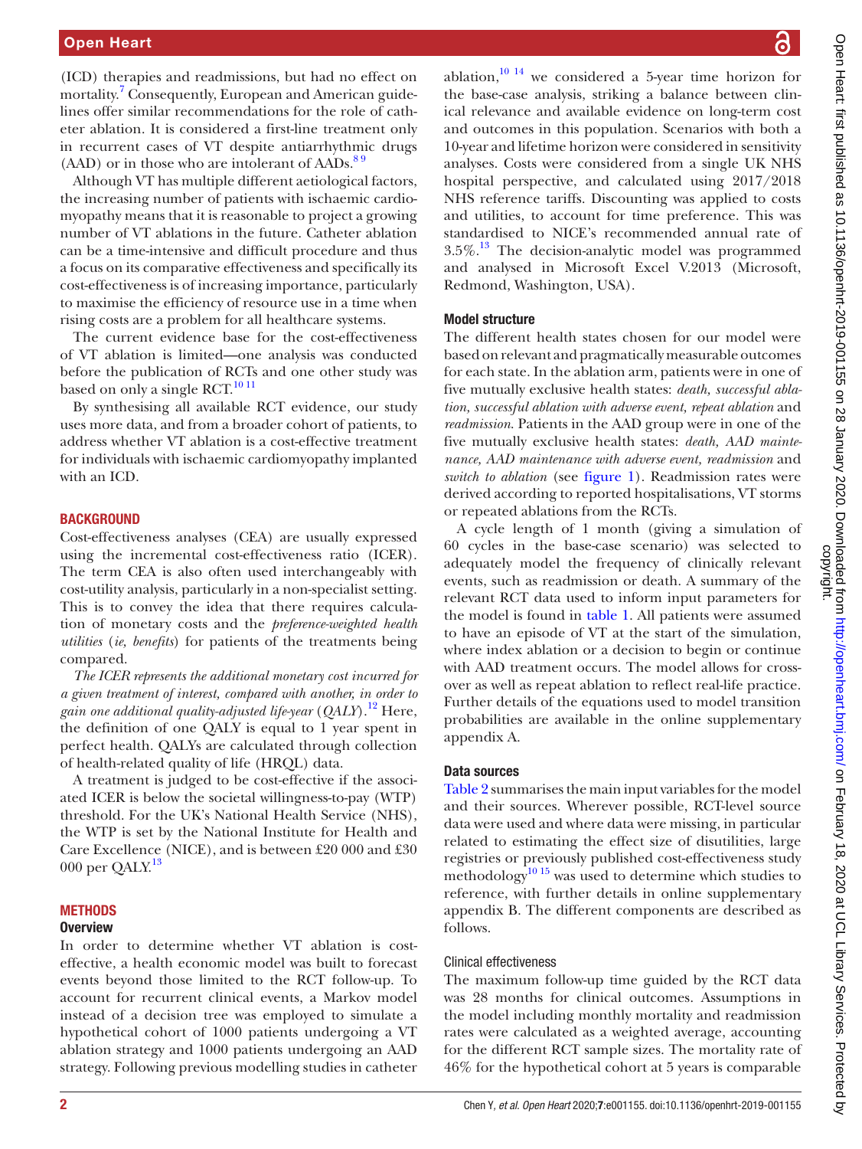# Open Heart

(ICD) therapies and readmissions, but had no effect on mortality.<sup>[7](#page-6-1)</sup> Consequently, European and American guidelines offer similar recommendations for the role of catheter ablation. It is considered a first-line treatment only in recurrent cases of VT despite antiarrhythmic drugs  $(AAD)$  or in those who are intolerant of  $AADs$ .<sup>89</sup>

Although VT has multiple different aetiological factors, the increasing number of patients with ischaemic cardiomyopathy means that it is reasonable to project a growing number of VT ablations in the future. Catheter ablation can be a time-intensive and difficult procedure and thus a focus on its comparative effectiveness and specifically its cost-effectiveness is of increasing importance, particularly to maximise the efficiency of resource use in a time when rising costs are a problem for all healthcare systems.

The current evidence base for the cost-effectiveness of VT ablation is limited—one analysis was conducted before the publication of RCTs and one other study was based on only a single RCT.<sup>[10 11](#page-6-3)</sup>

By synthesising all available RCT evidence, our study uses more data, and from a broader cohort of patients, to address whether VT ablation is a cost-effective treatment for individuals with ischaemic cardiomyopathy implanted with an ICD.

# **BACKGROUND**

Cost-effectiveness analyses (CEA) are usually expressed using the incremental cost-effectiveness ratio (ICER). The term CEA is also often used interchangeably with cost-utility analysis, particularly in a non-specialist setting. This is to convey the idea that there requires calculation of monetary costs and the *preference-weighted health utilities* (*ie, benefits*) for patients of the treatments being compared.

*The ICER represents the additional monetary cost incurred for a given treatment of interest, compared with another, in order to gain one additional quality-adjusted life-year* (*QALY*).[12](#page-7-0) Here, the definition of one QALY is equal to 1 year spent in perfect health. QALYs are calculated through collection of health-related quality of life (HRQL) data.

A treatment is judged to be cost-effective if the associated ICER is below the societal willingness-to-pay (WTP) threshold. For the UK's National Health Service (NHS), the WTP is set by the National Institute for Health and Care Excellence (NICE), and is between £20 000 and £30 000 per QALY.<sup>[13](#page-7-1)</sup>

# **METHODS**

# **Overview**

In order to determine whether VT ablation is costeffective, a health economic model was built to forecast events beyond those limited to the RCT follow-up. To account for recurrent clinical events, a Markov model instead of a decision tree was employed to simulate a hypothetical cohort of 1000 patients undergoing a VT ablation strategy and 1000 patients undergoing an AAD strategy. Following previous modelling studies in catheter

ablation, $10^{-14}$  we considered a 5-year time horizon for the base-case analysis, striking a balance between clinical relevance and available evidence on long-term cost and outcomes in this population. Scenarios with both a 10-year and lifetime horizon were considered in sensitivity analyses. Costs were considered from a single UK NHS hospital perspective, and calculated using 2017/2018 NHS reference tariffs. Discounting was applied to costs and utilities, to account for time preference. This was standardised to NICE's recommended annual rate of  $3.5\%$ .<sup>[13](#page-7-1)</sup> The decision-analytic model was programmed and analysed in Microsoft Excel V.2013 (Microsoft, Redmond, Washington, USA).

## Model structure

The different health states chosen for our model were based on relevant and pragmatically measurable outcomes for each state. In the ablation arm, patients were in one of five mutually exclusive health states: *death, successful ablation, successful ablation with adverse event, repeat ablation* and *readmission*. Patients in the AAD group were in one of the five mutually exclusive health states: *death, AAD maintenance, AAD maintenance with adverse event, readmission* and *switch to ablation* (see [figure](#page-2-0) 1). Readmission rates were derived according to reported hospitalisations, VT storms or repeated ablations from the RCTs.

A cycle length of 1 month (giving a simulation of 60 cycles in the base-case scenario) was selected to adequately model the frequency of clinically relevant events, such as readmission or death. A summary of the relevant RCT data used to inform input parameters for the model is found in [table](#page-3-0) 1. All patients were assumed to have an episode of VT at the start of the simulation, where index ablation or a decision to begin or continue with AAD treatment occurs. The model allows for crossover as well as repeat ablation to reflect real-life practice. Further details of the equations used to model transition probabilities are available in the [online supplementary](https://dx.doi.org/10.1136/openhrt-2019-001155)  [appendix A](https://dx.doi.org/10.1136/openhrt-2019-001155).

#### Data sources

[Table](#page-3-1) 2 summarises the main input variables for the model and their sources. Wherever possible, RCT-level source data were used and where data were missing, in particular related to estimating the effect size of disutilities, large registries or previously published cost-effectiveness study methodology $^{10}$ <sup>15</sup> was used to determine which studies to reference, with further details in [online supplementary](https://dx.doi.org/10.1136/openhrt-2019-001155)  [appendix B.](https://dx.doi.org/10.1136/openhrt-2019-001155) The different components are described as follows.

# Clinical effectiveness

The maximum follow-up time guided by the RCT data was 28 months for clinical outcomes. Assumptions in the model including monthly mortality and readmission rates were calculated as a weighted average, accounting for the different RCT sample sizes. The mortality rate of 46% for the hypothetical cohort at 5 years is comparable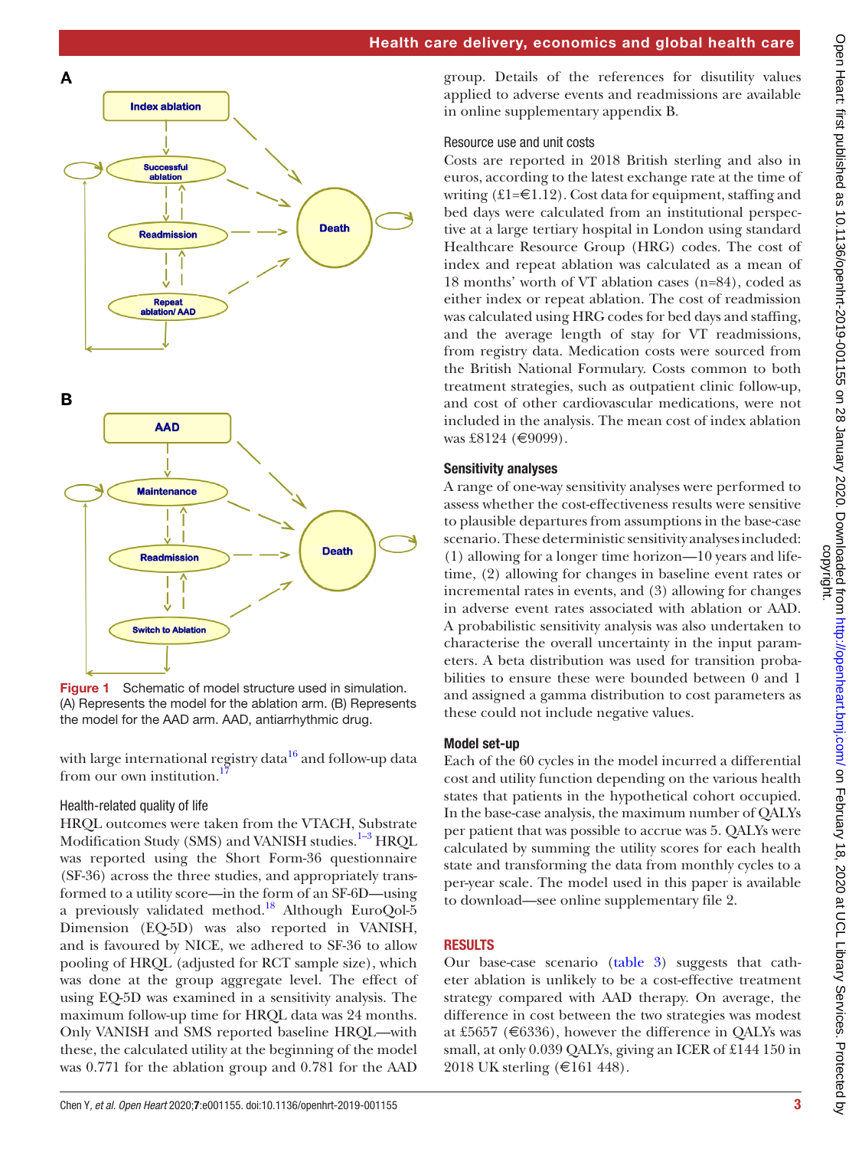

<span id="page-2-0"></span>Figure 1 Schematic of model structure used in simulation. (A) Represents the model for the ablation arm. (B) Represents the model for the AAD arm. AAD, antiarrhythmic drug.

with large international registry data<sup>16</sup> and follow-up data from our own institution.

# Health-related quality of life

HRQL outcomes were taken from the VTACH, Substrate Modification Study (SMS) and VANISH studies.<sup>[1–3](#page-6-0)</sup> HRQL was reported using the Short Form-36 questionnaire (SF-36) across the three studies, and appropriately transformed to a utility score—in the form of an SF-6D—using a previously validated method.<sup>18</sup> Although EuroQol-5 Dimension (EQ-5D) was also reported in VANISH, and is favoured by NICE, we adhered to SF-36 to allow pooling of HRQL (adjusted for RCT sample size), which was done at the group aggregate level. The effect of using EQ-5D was examined in a sensitivity analysis. The maximum follow-up time for HRQL data was 24 months. Only VANISH and SMS reported baseline HRQL—with these, the calculated utility at the beginning of the model was 0.771 for the ablation group and 0.781 for the AAD

group. Details of the references for disutility values applied to adverse events and readmissions are available in [online supplementary appendix B.](https://dx.doi.org/10.1136/openhrt-2019-001155)

# Resource use and unit costs

Costs are reported in 2018 British sterling and also in euros, according to the latest exchange rate at the time of writing  $(E1=\epsilon 1.12)$ . Cost data for equipment, staffing and bed days were calculated from an institutional perspective at a large tertiary hospital in London using standard Healthcare Resource Group (HRG) codes. The cost of index and repeat ablation was calculated as a mean of 18 months' worth of VT ablation cases (n=84), coded as either index or repeat ablation. The cost of readmission was calculated using HRG codes for bed days and staffing, and the average length of stay for VT readmissions, from registry data. Medication costs were sourced from the British National Formulary. Costs common to both treatment strategies, such as outpatient clinic follow-up, and cost of other cardiovascular medications, were not included in the analysis. The mean cost of index ablation was £8124 (€9099).

# Sensitivity analyses

A range of one-way sensitivity analyses were performed to assess whether the cost-effectiveness results were sensitive to plausible departures from assumptions in the base-case scenario. These deterministic sensitivity analyses included: (1) allowing for a longer time horizon—10 years and lifetime, (2) allowing for changes in baseline event rates or incremental rates in events, and (3) allowing for changes in adverse event rates associated with ablation or AAD. A probabilistic sensitivity analysis was also undertaken to characterise the overall uncertainty in the input parameters. A beta distribution was used for transition probabilities to ensure these were bounded between 0 and 1 and assigned a gamma distribution to cost parameters as these could not include negative values.

# Model set-up

Each of the 60 cycles in the model incurred a differential cost and utility function depending on the various health states that patients in the hypothetical cohort occupied. In the base-case analysis, the maximum number of QALYs per patient that was possible to accrue was 5. QALYs were calculated by summing the utility scores for each health state and transforming the data from monthly cycles to a per-year scale. The model used in this paper is available to download—see [online supplementary file 2](https://dx.doi.org/10.1136/openhrt-2019-001155).

# **RESULTS**

Our base-case scenario [\(table](#page-4-0) 3) suggests that catheter ablation is unlikely to be a cost-effective treatment strategy compared with AAD therapy. On average, the difference in cost between the two strategies was modest at £5657 ( $\in$ 6336), however the difference in QALYs was small, at only 0.039 QALYs, giving an ICER of £144 150 in 2018 UK sterling (€161 448).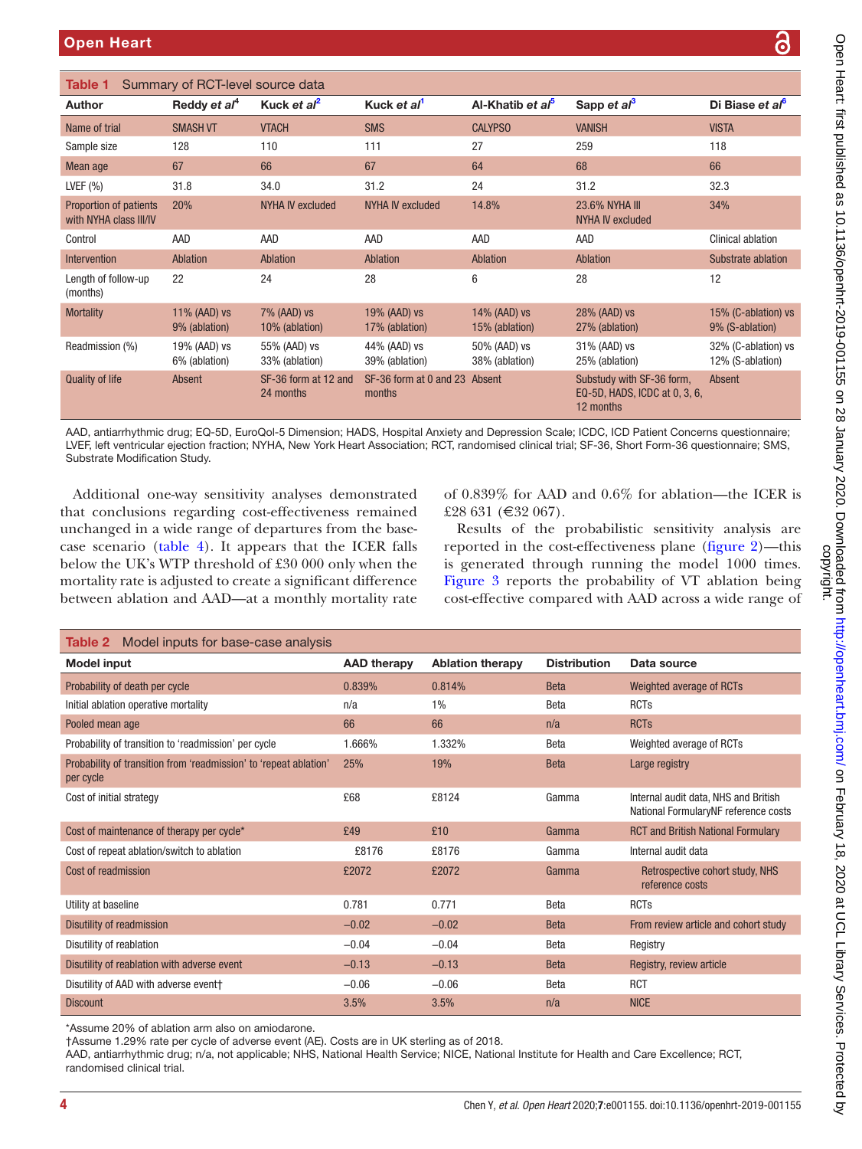<span id="page-3-0"></span>

| Author                                                                                                                                                                                                                                                                                                                      | Reddy et al <sup>4</sup>      | Kuck et al <sup>2</sup>                                                                                                                                                                                                                                                                             | Kuck et al <sup>1</sup>                 |               | Al-Khatib et al <sup>5</sup>   | Sapp et $a^3$                             |                                                            | Di Biase et al <sup>6</sup>                                                                                                                                                                                                                                                                                                                        |
|-----------------------------------------------------------------------------------------------------------------------------------------------------------------------------------------------------------------------------------------------------------------------------------------------------------------------------|-------------------------------|-----------------------------------------------------------------------------------------------------------------------------------------------------------------------------------------------------------------------------------------------------------------------------------------------------|-----------------------------------------|---------------|--------------------------------|-------------------------------------------|------------------------------------------------------------|----------------------------------------------------------------------------------------------------------------------------------------------------------------------------------------------------------------------------------------------------------------------------------------------------------------------------------------------------|
| Name of trial                                                                                                                                                                                                                                                                                                               | <b>SMASH VT</b>               | <b>VTACH</b>                                                                                                                                                                                                                                                                                        | <b>SMS</b>                              |               | <b>CALYPSO</b>                 | <b>VANISH</b>                             |                                                            | <b>VISTA</b>                                                                                                                                                                                                                                                                                                                                       |
| Sample size                                                                                                                                                                                                                                                                                                                 | 128                           | 110                                                                                                                                                                                                                                                                                                 | 111                                     |               | 27                             | 259                                       |                                                            | 118                                                                                                                                                                                                                                                                                                                                                |
| Mean age                                                                                                                                                                                                                                                                                                                    | 67                            | 66                                                                                                                                                                                                                                                                                                  | 67                                      |               | 64                             | 68                                        |                                                            | 66                                                                                                                                                                                                                                                                                                                                                 |
| LVEF $(%)$                                                                                                                                                                                                                                                                                                                  | 31.8                          | 34.0                                                                                                                                                                                                                                                                                                | 31.2                                    |               | 24                             | 31.2                                      |                                                            | 32.3                                                                                                                                                                                                                                                                                                                                               |
| Proportion of patients<br>with NYHA class III/IV                                                                                                                                                                                                                                                                            | 20%                           | <b>NYHA IV excluded</b>                                                                                                                                                                                                                                                                             | <b>NYHA IV excluded</b>                 |               | 14.8%                          | <b>23.6% NYHA III</b><br>NYHA IV excluded |                                                            | 34%                                                                                                                                                                                                                                                                                                                                                |
| Control                                                                                                                                                                                                                                                                                                                     | AAD                           | AAD                                                                                                                                                                                                                                                                                                 | AAD                                     |               | AAD                            | AAD                                       |                                                            | <b>Clinical ablation</b>                                                                                                                                                                                                                                                                                                                           |
| Intervention                                                                                                                                                                                                                                                                                                                | Ablation                      | <b>Ablation</b>                                                                                                                                                                                                                                                                                     | Ablation                                |               | Ablation                       | Ablation                                  |                                                            | Substrate ablation                                                                                                                                                                                                                                                                                                                                 |
| Length of follow-up<br>(months)                                                                                                                                                                                                                                                                                             | 22                            | 24                                                                                                                                                                                                                                                                                                  | 28                                      |               | 6                              | 28                                        |                                                            | 12                                                                                                                                                                                                                                                                                                                                                 |
| <b>Mortality</b>                                                                                                                                                                                                                                                                                                            | 11% (AAD) vs<br>9% (ablation) | 7% (AAD) vs<br>10% (ablation)                                                                                                                                                                                                                                                                       | 19% (AAD) vs<br>17% (ablation)          |               | 14% (AAD) vs<br>15% (ablation) | 28% (AAD) vs<br>27% (ablation)            |                                                            | 15% (C-ablation) vs<br>9% (S-ablation)                                                                                                                                                                                                                                                                                                             |
| Readmission (%)                                                                                                                                                                                                                                                                                                             | 19% (AAD) vs<br>6% (ablation) | 55% (AAD) vs<br>33% (ablation)                                                                                                                                                                                                                                                                      | 44% (AAD) vs<br>39% (ablation)          |               | 50% (AAD) vs<br>38% (ablation) | 31% (AAD) vs<br>25% (ablation)            |                                                            | 32% (C-ablation) vs<br>12% (S-ablation)                                                                                                                                                                                                                                                                                                            |
| <b>Quality of life</b>                                                                                                                                                                                                                                                                                                      | Absent                        | SF-36 form at 12 and<br>24 months                                                                                                                                                                                                                                                                   | SF-36 form at 0 and 23 Absent<br>months |               |                                | 12 months                                 | Substudy with SF-36 form,<br>EQ-5D, HADS, ICDC at 0, 3, 6, | Absent                                                                                                                                                                                                                                                                                                                                             |
|                                                                                                                                                                                                                                                                                                                             |                               | Additional one-way sensitivity analyses demonstrated<br>that conclusions regarding cost-effectiveness remained                                                                                                                                                                                      |                                         |               | £28 631 (€32 067).             |                                           |                                                            |                                                                                                                                                                                                                                                                                                                                                    |
|                                                                                                                                                                                                                                                                                                                             |                               | unchanged in a wide range of departures from the base-<br>case scenario (table 4). It appears that the ICER falls<br>below the UK's WTP threshold of £30 000 only when the<br>mortality rate is adjusted to create a significant difference<br>between ablation and AAD-at a monthly mortality rate |                                         |               |                                |                                           |                                                            |                                                                                                                                                                                                                                                                                                                                                    |
|                                                                                                                                                                                                                                                                                                                             |                               |                                                                                                                                                                                                                                                                                                     |                                         |               |                                |                                           |                                                            |                                                                                                                                                                                                                                                                                                                                                    |
|                                                                                                                                                                                                                                                                                                                             |                               |                                                                                                                                                                                                                                                                                                     | <b>AAD therapy</b>                      |               | <b>Ablation therapy</b>        | <b>Distribution</b>                       | Data source                                                | of 0.839% for AAD and 0.6% for ablation—the ICER is<br>Results of the probabilistic sensitivity analysis are<br>reported in the cost-effectiveness plane (figure 2)—this<br>is generated through running the model 1000 times.<br>Figure 3 reports the probability of VT ablation being<br>cost-effective compared with AAD across a wide range of |
|                                                                                                                                                                                                                                                                                                                             |                               |                                                                                                                                                                                                                                                                                                     | 0.839%                                  | 0.814%        |                                | <b>Beta</b>                               | Weighted average of RCTs                                   |                                                                                                                                                                                                                                                                                                                                                    |
|                                                                                                                                                                                                                                                                                                                             |                               |                                                                                                                                                                                                                                                                                                     | n/a                                     | $1\%$         |                                | Beta                                      | <b>RCTs</b>                                                |                                                                                                                                                                                                                                                                                                                                                    |
|                                                                                                                                                                                                                                                                                                                             |                               |                                                                                                                                                                                                                                                                                                     | 66                                      | 66            |                                | n/a                                       | <b>RCTs</b>                                                |                                                                                                                                                                                                                                                                                                                                                    |
|                                                                                                                                                                                                                                                                                                                             |                               |                                                                                                                                                                                                                                                                                                     | 1.666%<br>25%                           | 1.332%<br>19% |                                | Beta<br><b>Beta</b>                       | Weighted average of RCTs<br>Large registry                 |                                                                                                                                                                                                                                                                                                                                                    |
| Model input<br>Pooled mean age<br>per cycle                                                                                                                                                                                                                                                                                 |                               |                                                                                                                                                                                                                                                                                                     | £68                                     | £8124         |                                | Gamma                                     | Internal audit data, NHS and British                       |                                                                                                                                                                                                                                                                                                                                                    |
| Table 2 Model inputs for base-case analysis<br>Probability of death per cycle<br>Initial ablation operative mortality<br>Probability of transition to 'readmission' per cycle<br>Probability of transition from 'readmission' to 'repeat ablation'<br>Cost of initial strategy<br>Cost of maintenance of therapy per cycle* |                               |                                                                                                                                                                                                                                                                                                     | £49                                     | £10           |                                | Gamma                                     | <b>RCT and British National Formulary</b>                  |                                                                                                                                                                                                                                                                                                                                                    |
| Cost of repeat ablation/switch to ablation                                                                                                                                                                                                                                                                                  |                               |                                                                                                                                                                                                                                                                                                     | £8176                                   | £8176         |                                | Gamma                                     | Internal audit data                                        | National FormularyNF reference costs                                                                                                                                                                                                                                                                                                               |

<span id="page-3-1"></span>

| Probability of transition from 'readmission' to 'repeat ablation'<br>per cycle | 25%     | 19%     | <b>Beta</b> | Large registry                                                              |
|--------------------------------------------------------------------------------|---------|---------|-------------|-----------------------------------------------------------------------------|
| Cost of initial strategy                                                       | £68     | £8124   | Gamma       | Internal audit data, NHS and British<br>National FormularyNF reference cost |
| Cost of maintenance of therapy per cycle*                                      | £49     | £10     | Gamma       | <b>RCT and British National Formulary</b>                                   |
| Cost of repeat ablation/switch to ablation                                     | £8176   | £8176   | Gamma       | Internal audit data                                                         |
| Cost of readmission                                                            | £2072   | £2072   | Gamma       | Retrospective cohort study, NHS<br>reference costs                          |
| Utility at baseline                                                            | 0.781   | 0.771   | Beta        | <b>RCTs</b>                                                                 |
| Disutility of readmission                                                      | $-0.02$ | $-0.02$ | <b>Beta</b> | From review article and cohort study                                        |
| Disutility of reablation                                                       | $-0.04$ | $-0.04$ | Beta        | Registry                                                                    |
| Disutility of reablation with adverse event                                    | $-0.13$ | $-0.13$ | <b>Beta</b> | Registry, review article                                                    |
| Disutility of AAD with adverse event†                                          | $-0.06$ | $-0.06$ | Beta        | <b>RCT</b>                                                                  |
| <b>Discount</b>                                                                | 3.5%    | 3.5%    | n/a         | <b>NICE</b>                                                                 |
|                                                                                |         |         |             |                                                                             |

\*Assume 20% of ablation arm also on amiodarone.

†Assume 1.29% rate per cycle of adverse event (AE). Costs are in UK sterling as of 2018.

AAD, antiarrhythmic drug; n/a, not applicable; NHS, National Health Service; NICE, National Institute for Health and Care Excellence; RCT, randomised clinical trial.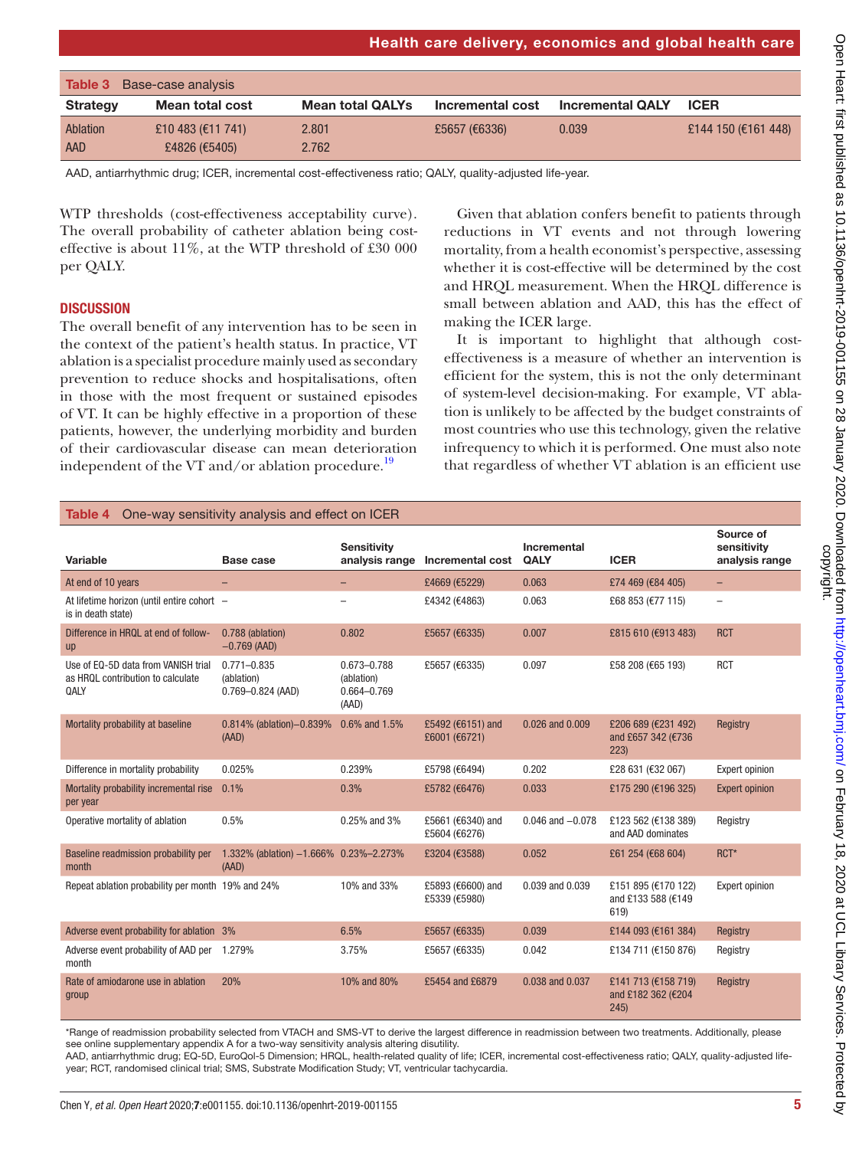| Health care delivery, economics and global health care |  |  |  |
|--------------------------------------------------------|--|--|--|
|--------------------------------------------------------|--|--|--|

<span id="page-4-0"></span>

| Base-case analysis<br>Table 3 |                                    |                         |                  |                         |                     |  |  |
|-------------------------------|------------------------------------|-------------------------|------------------|-------------------------|---------------------|--|--|
| <b>Strategy</b>               | Mean total cost                    | <b>Mean total QALYs</b> | Incremental cost | <b>Incremental QALY</b> | <b>ICER</b>         |  |  |
| Ablation<br>AAD               | £10 483 (€11 741)<br>£4826 (€5405) | 2.801<br>2.762          | £5657 (€6336)    | 0.039                   | £144 150 (€161 448) |  |  |

AAD, antiarrhythmic drug; ICER, incremental cost-effectiveness ratio; QALY, quality-adjusted life-year.

WTP thresholds (cost-effectiveness acceptability curve). The overall probability of catheter ablation being costeffective is about 11%, at the WTP threshold of £30 000 per QALY.

## **DISCUSSION**

The overall benefit of any intervention has to be seen in the context of the patient's health status. In practice, VT ablation is a specialist procedure mainly used as secondary prevention to reduce shocks and hospitalisations, often in those with the most frequent or sustained episodes of VT. It can be highly effective in a proportion of these patients, however, the underlying morbidity and burden of their cardiovascular disease can mean deterioration independent of the VT and/or ablation procedure.<sup>19</sup>

Given that ablation confers benefit to patients through reductions in VT events and not through lowering mortality, from a health economist's perspective, assessing whether it is cost-effective will be determined by the cost and HRQL measurement. When the HRQL difference is small between ablation and AAD, this has the effect of making the ICER large.

It is important to highlight that although costeffectiveness is a measure of whether an intervention is efficient for the system, this is not the only determinant of system-level decision-making. For example, VT ablation is unlikely to be affected by the budget constraints of most countries who use this technology, given the relative infrequency to which it is performed. One must also note that regardless of whether VT ablation is an efficient use

<span id="page-4-1"></span>

| One-way sensitivity analysis and effect on ICER<br>Table 4                       |                                                        |                                                   |                                    |                      |                                                   |                                            |  |  |
|----------------------------------------------------------------------------------|--------------------------------------------------------|---------------------------------------------------|------------------------------------|----------------------|---------------------------------------------------|--------------------------------------------|--|--|
| Variable                                                                         | Base case                                              | <b>Sensitivity</b>                                | analysis range Incremental cost    | Incremental<br>QALY  | <b>ICER</b>                                       | Source of<br>sensitivity<br>analysis range |  |  |
| At end of 10 years                                                               |                                                        |                                                   | £4669 (€5229)                      | 0.063                | £74 469 (€84 405)                                 | -                                          |  |  |
| At lifetime horizon (until entire cohort -<br>is in death state)                 |                                                        |                                                   | £4342 (€4863)                      | 0.063                | £68 853 (€77 115)                                 | $\overline{\phantom{0}}$                   |  |  |
| Difference in HRQL at end of follow-<br><b>up</b>                                | 0.788 (ablation)<br>$-0.769$ (AAD)                     | 0.802                                             | £5657 (€6335)                      | 0.007                | £815 610 (€913 483)                               | <b>RCT</b>                                 |  |  |
| Use of EQ-5D data from VANISH trial<br>as HRQL contribution to calculate<br>QALY | $0.771 - 0.835$<br>(ablation)<br>$0.769 - 0.824$ (AAD) | 0.673-0.788<br>(ablation)<br>0.664-0.769<br>(AAD) | £5657 (€6335)                      | 0.097                | £58 208 (€65 193)                                 | <b>RCT</b>                                 |  |  |
| Mortality probability at baseline                                                | 0.814% (ablation)-0.839%<br>(AAD)                      | 0.6% and 1.5%                                     | £5492 (€6151) and<br>£6001 (€6721) | 0.026 and 0.009      | £206 689 (€231 492)<br>and £657 342 (€736<br>223) | Registry                                   |  |  |
| Difference in mortality probability                                              | 0.025%                                                 | 0.239%                                            | £5798 (€6494)                      | 0.202                | £28 631 (€32 067)                                 | <b>Expert opinion</b>                      |  |  |
| Mortality probability incremental rise<br>per year                               | 0.1%                                                   | 0.3%                                              | £5782 (€6476)                      | 0.033                | £175 290 (€196 325)                               | <b>Expert opinion</b>                      |  |  |
| Operative mortality of ablation                                                  | 0.5%                                                   | 0.25% and 3%                                      | £5661 (€6340) and<br>£5604 (€6276) | $0.046$ and $-0.078$ | £123 562 (€138 389)<br>and AAD dominates          | Registry                                   |  |  |
| Baseline readmission probability per<br>month                                    | 1.332% (ablation) -1.666% 0.23%-2.273%<br>(AAD)        |                                                   | £3204 (€3588)                      | 0.052                | £61 254 (€68 604)                                 | RCT*                                       |  |  |
| Repeat ablation probability per month 19% and 24%                                |                                                        | 10% and 33%                                       | £5893 (€6600) and<br>£5339 (€5980) | 0.039 and 0.039      | £151 895 (€170 122)<br>and £133 588 (€149<br>619) | <b>Expert opinion</b>                      |  |  |
| Adverse event probability for ablation 3%                                        |                                                        | 6.5%                                              | £5657 (€6335)                      | 0.039                | £144 093 (€161 384)                               | Registry                                   |  |  |
| Adverse event probability of AAD per 1.279%<br>month                             |                                                        | 3.75%                                             | £5657 (€6335)                      | 0.042                | £134 711 (€150 876)                               | Registry                                   |  |  |
| Rate of amiodarone use in ablation<br>group                                      | 20%                                                    | 10% and 80%                                       | £5454 and £6879                    | 0.038 and 0.037      | £141 713 (€158 719)<br>and £182 362 (€204<br>245) | Registry                                   |  |  |

\*Range of readmission probability selected from VTACH and SMS-VT to derive the largest difference in readmission between two treatments. Additionally, please see [online supplementary appendix A](https://dx.doi.org/10.1136/openhrt-2019-001155) for a two-way sensitivity analysis altering disutility.

AAD, antiarrhythmic drug; EQ-5D, EuroQol-5 Dimension; HRQL, health-related quality of life; ICER, incremental cost-effectiveness ratio; QALY, quality-adjusted lifeyear; RCT, randomised clinical trial; SMS, Substrate Modification Study; VT, ventricular tachycardia.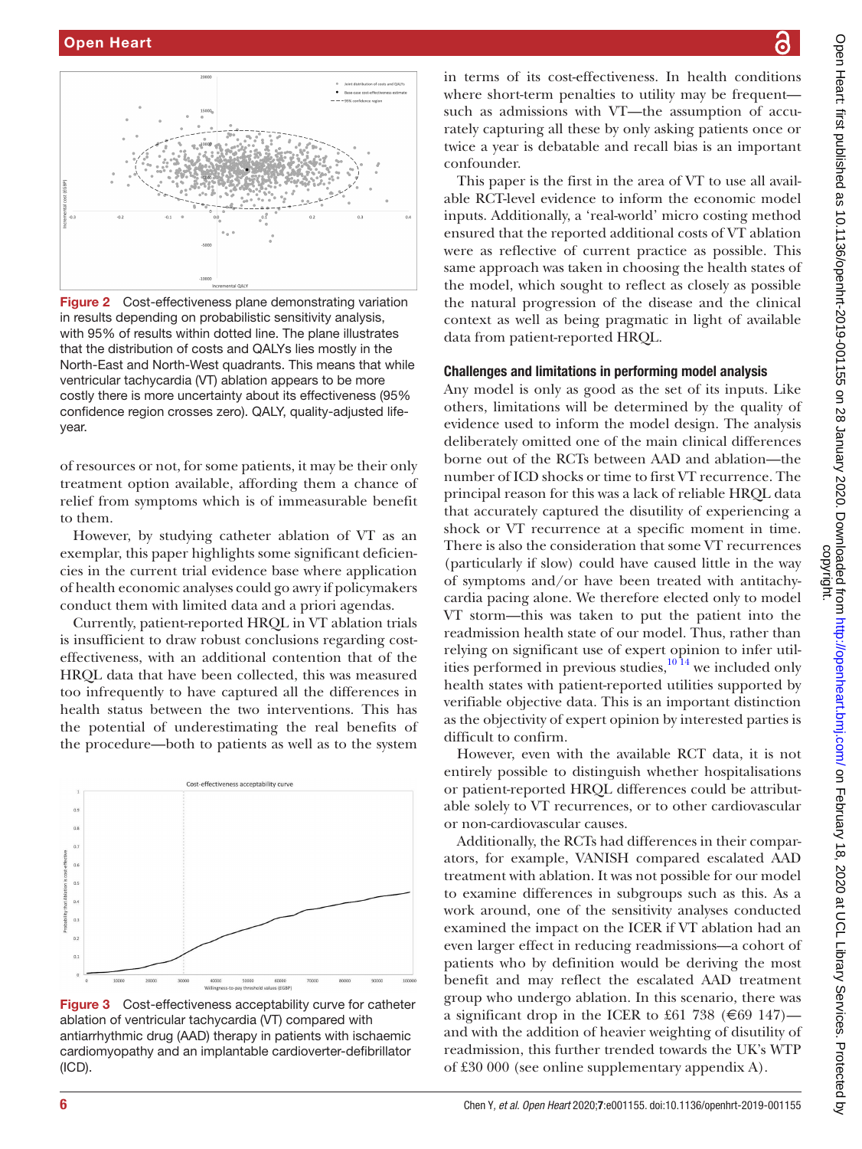

<span id="page-5-0"></span>**Figure 2** Cost-effectiveness plane demonstrating variation in results depending on probabilistic sensitivity analysis, with 95% of results within dotted line. The plane illustrates that the distribution of costs and QALYs lies mostly in the North-East and North-West quadrants. This means that while ventricular tachycardia (VT) ablation appears to be more costly there is more uncertainty about its effectiveness (95% confidence region crosses zero). QALY, quality-adjusted lifeyear.

of resources or not, for some patients, it may be their only treatment option available, affording them a chance of relief from symptoms which is of immeasurable benefit to them.

However, by studying catheter ablation of VT as an exemplar, this paper highlights some significant deficiencies in the current trial evidence base where application of health economic analyses could go awry if policymakers conduct them with limited data and a priori agendas.

Currently, patient-reported HRQL in VT ablation trials is insufficient to draw robust conclusions regarding costeffectiveness, with an additional contention that of the HRQL data that have been collected, this was measured too infrequently to have captured all the differences in health status between the two interventions. This has the potential of underestimating the real benefits of the procedure—both to patients as well as to the system



<span id="page-5-1"></span>Figure 3 Cost-effectiveness acceptability curve for catheter ablation of ventricular tachycardia (VT) compared with antiarrhythmic drug (AAD) therapy in patients with ischaemic cardiomyopathy and an implantable cardioverter-defibrillator (ICD).

in terms of its cost-effectiveness. In health conditions where short-term penalties to utility may be frequent such as admissions with VT—the assumption of accurately capturing all these by only asking patients once or twice a year is debatable and recall bias is an important confounder.

This paper is the first in the area of VT to use all available RCT-level evidence to inform the economic model inputs. Additionally, a 'real-world' micro costing method ensured that the reported additional costs of VT ablation were as reflective of current practice as possible. This same approach was taken in choosing the health states of the model, which sought to reflect as closely as possible the natural progression of the disease and the clinical context as well as being pragmatic in light of available data from patient-reported HRQL.

### Challenges and limitations in performing model analysis

Any model is only as good as the set of its inputs. Like others, limitations will be determined by the quality of evidence used to inform the model design. The analysis deliberately omitted one of the main clinical differences borne out of the RCTs between AAD and ablation—the number of ICD shocks or time to first VT recurrence. The principal reason for this was a lack of reliable HRQL data that accurately captured the disutility of experiencing a shock or VT recurrence at a specific moment in time. There is also the consideration that some VT recurrences (particularly if slow) could have caused little in the way of symptoms and/or have been treated with antitachycardia pacing alone. We therefore elected only to model VT storm—this was taken to put the patient into the readmission health state of our model. Thus, rather than relying on significant use of expert opinion to infer utilities performed in previous studies, $10^{14}$  we included only health states with patient-reported utilities supported by verifiable objective data. This is an important distinction as the objectivity of expert opinion by interested parties is difficult to confirm.

However, even with the available RCT data, it is not entirely possible to distinguish whether hospitalisations or patient-reported HRQL differences could be attributable solely to VT recurrences, or to other cardiovascular or non-cardiovascular causes.

Additionally, the RCTs had differences in their comparators, for example, VANISH compared escalated AAD treatment with ablation. It was not possible for our model to examine differences in subgroups such as this. As a work around, one of the sensitivity analyses conducted examined the impact on the ICER if VT ablation had an even larger effect in reducing readmissions—a cohort of patients who by definition would be deriving the most benefit and may reflect the escalated AAD treatment group who undergo ablation. In this scenario, there was a significant drop in the ICER to £61 738 ( $\epsilon$ 69 147) and with the addition of heavier weighting of disutility of readmission, this further trended towards the UK's WTP of £30 000 (see online supplementary appendix A).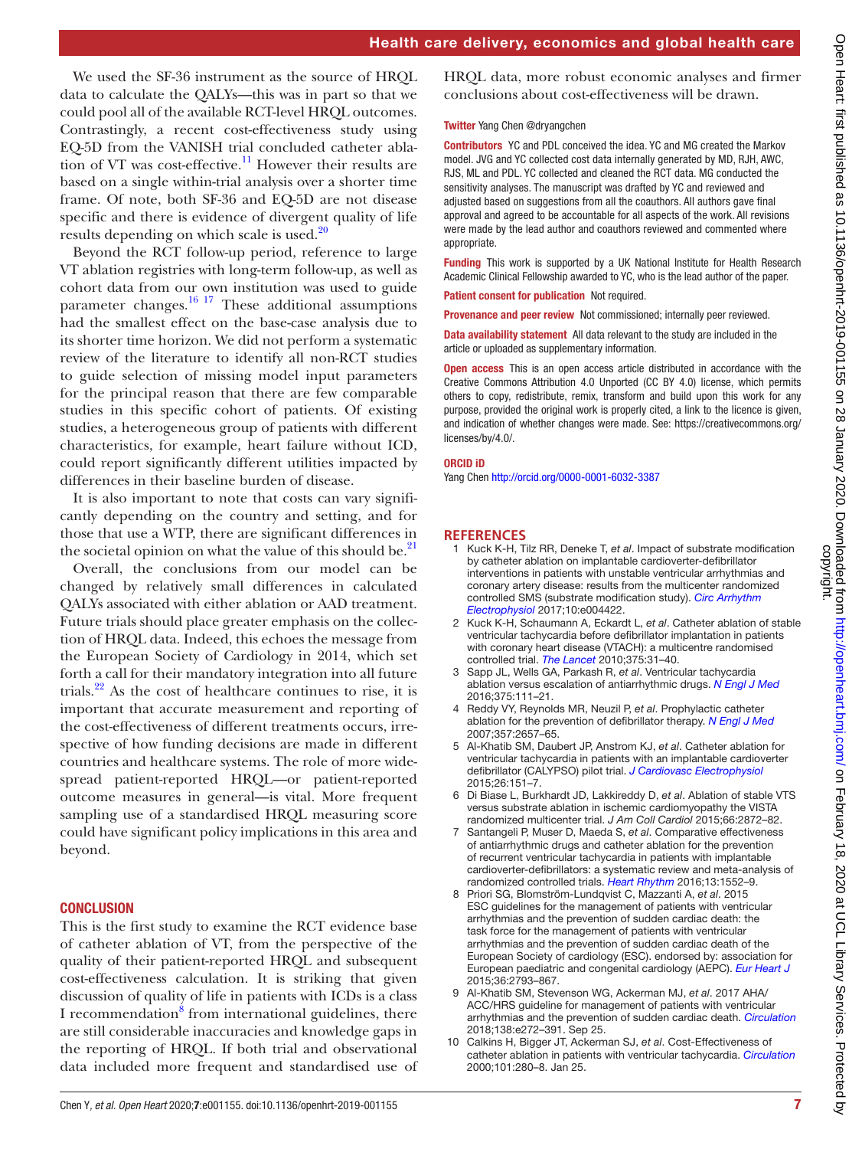We used the SF-36 instrument as the source of HRQL data to calculate the QALYs—this was in part so that we could pool all of the available RCT-level HRQL outcomes. Contrastingly, a recent cost-effectiveness study using EQ-5D from the VANISH trial concluded catheter ablation of VT was cost-effective.<sup>11</sup> However their results are based on a single within-trial analysis over a shorter time frame. Of note, both SF-36 and EQ-5D are not disease specific and there is evidence of divergent quality of life results depending on which scale is used.<sup>[20](#page-7-7)</sup>

Beyond the RCT follow-up period, reference to large VT ablation registries with long-term follow-up, as well as cohort data from our own institution was used to guide parameter changes. $16 \frac{17}{7}$  These additional assumptions had the smallest effect on the base-case analysis due to its shorter time horizon. We did not perform a systematic review of the literature to identify all non-RCT studies to guide selection of missing model input parameters for the principal reason that there are few comparable studies in this specific cohort of patients. Of existing studies, a heterogeneous group of patients with different characteristics, for example, heart failure without ICD, could report significantly different utilities impacted by differences in their baseline burden of disease.

It is also important to note that costs can vary significantly depending on the country and setting, and for those that use a WTP, there are significant differences in the societal opinion on what the value of this should be.<sup>21</sup>

Overall, the conclusions from our model can be changed by relatively small differences in calculated QALYs associated with either ablation or AAD treatment. Future trials should place greater emphasis on the collection of HRQL data. Indeed, this echoes the message from the European Society of Cardiology in 2014, which set forth a call for their mandatory integration into all future trials. $22$  As the cost of healthcare continues to rise, it is important that accurate measurement and reporting of the cost-effectiveness of different treatments occurs, irrespective of how funding decisions are made in different countries and healthcare systems. The role of more widespread patient-reported HRQL—or patient-reported outcome measures in general—is vital. More frequent sampling use of a standardised HRQL measuring score could have significant policy implications in this area and beyond.

### **CONCLUSION**

This is the first study to examine the RCT evidence base of catheter ablation of VT, from the perspective of the quality of their patient-reported HRQL and subsequent cost-effectiveness calculation. It is striking that given discussion of quality of life in patients with ICDs is a class I recommendation<sup>[8](#page-6-2)</sup> from international guidelines, there are still considerable inaccuracies and knowledge gaps in the reporting of HRQL. If both trial and observational data included more frequent and standardised use of

HRQL data, more robust economic analyses and firmer conclusions about cost-effectiveness will be drawn.

#### Twitter Yang Chen [@dryangchen](https://twitter.com/dryangchen)

Contributors YC and PDL conceived the idea. YC and MG created the Markov model. JVG and YC collected cost data internally generated by MD, RJH, AWC, RJS, ML and PDL. YC collected and cleaned the RCT data. MG conducted the sensitivity analyses. The manuscript was drafted by YC and reviewed and adjusted based on suggestions from all the coauthors. All authors gave final approval and agreed to be accountable for all aspects of the work. All revisions were made by the lead author and coauthors reviewed and commented where appropriate.

Funding This work is supported by a UK National Institute for Health Research Academic Clinical Fellowship awarded to YC, who is the lead author of the paper.

Patient consent for publication Not required.

Provenance and peer review Not commissioned; internally peer reviewed.

Data availability statement All data relevant to the study are included in the article or uploaded as supplementary information.

Open access This is an open access article distributed in accordance with the Creative Commons Attribution 4.0 Unported (CC BY 4.0) license, which permits others to copy, redistribute, remix, transform and build upon this work for any purpose, provided the original work is properly cited, a link to the licence is given, and indication of whether changes were made. See: [https://creativecommons.org/](https://creativecommons.org/licenses/by/4.0/) [licenses/by/4.0/](https://creativecommons.org/licenses/by/4.0/).

#### ORCID iD

Yang Chen <http://orcid.org/0000-0001-6032-3387>

#### **References**

- <span id="page-6-0"></span>1 Kuck K-H, Tilz RR, Deneke T, *et al*. Impact of substrate modification by catheter ablation on implantable cardioverter-defibrillator interventions in patients with unstable ventricular arrhythmias and coronary artery disease: results from the multicenter randomized controlled SMS (substrate modification study). *[Circ Arrhythm](http://dx.doi.org/10.1161/CIRCEP.116.004422)  [Electrophysiol](http://dx.doi.org/10.1161/CIRCEP.116.004422)* 2017;10:e004422.
- <span id="page-6-5"></span>2 Kuck K-H, Schaumann A, Eckardt L, *et al*. Catheter ablation of stable ventricular tachycardia before defibrillator implantation in patients with coronary heart disease (VTACH): a multicentre randomised controlled trial. *[The Lancet](http://dx.doi.org/10.1016/S0140-6736(09)61755-4)* 2010;375:31–40.
- <span id="page-6-7"></span>3 Sapp JL, Wells GA, Parkash R, *et al*. Ventricular tachycardia ablation versus escalation of antiarrhythmic drugs. *[N Engl J Med](http://dx.doi.org/10.1056/NEJMoa1513614)* 2016;375:111–21.
- <span id="page-6-4"></span>4 Reddy VY, Reynolds MR, Neuzil P, *et al*. Prophylactic catheter ablation for the prevention of defibrillator therapy. *[N Engl J Med](http://dx.doi.org/10.1056/NEJMoa065457)* 2007;357:2657–65.
- <span id="page-6-6"></span>5 Al-Khatib SM, Daubert JP, Anstrom KJ, *et al*. Catheter ablation for ventricular tachycardia in patients with an implantable cardioverter defibrillator (CALYPSO) pilot trial. *[J Cardiovasc Electrophysiol](http://dx.doi.org/10.1111/jce.12567)* 2015;26:151–7.
- <span id="page-6-8"></span>6 Di Biase L, Burkhardt JD, Lakkireddy D, *et al*. Ablation of stable VTS versus substrate ablation in ischemic cardiomyopathy the VISTA randomized multicenter trial. *J Am Coll Cardiol* 2015;66:2872–82.
- <span id="page-6-1"></span>7 Santangeli P, Muser D, Maeda S, *et al*. Comparative effectiveness of antiarrhythmic drugs and catheter ablation for the prevention of recurrent ventricular tachycardia in patients with implantable cardioverter-defibrillators: a systematic review and meta-analysis of randomized controlled trials. *[Heart Rhythm](http://dx.doi.org/10.1016/j.hrthm.2016.03.004)* 2016;13:1552–9.
- <span id="page-6-2"></span>8 Priori SG, Blomström-Lundqvist C, Mazzanti A, *et al*. 2015 ESC guidelines for the management of patients with ventricular arrhythmias and the prevention of sudden cardiac death: the task force for the management of patients with ventricular arrhythmias and the prevention of sudden cardiac death of the European Society of cardiology (ESC). endorsed by: association for European paediatric and congenital cardiology (AEPC). *[Eur Heart J](http://dx.doi.org/10.1093/eurheartj/ehv316)* 2015;36:2793–867.
- 9 Al-Khatib SM, Stevenson WG, Ackerman MJ, *et al*. 2017 AHA/ ACC/HRS guideline for management of patients with ventricular arrhythmias and the prevention of sudden cardiac death. *[Circulation](http://dx.doi.org/10.1161/CIR.0000000000000549)* 2018;138:e272–391. Sep 25.
- <span id="page-6-3"></span>10 Calkins H, Bigger JT, Ackerman SJ, *et al*. Cost-Effectiveness of catheter ablation in patients with ventricular tachycardia. *[Circulation](http://dx.doi.org/10.1161/01.CIR.101.3.280)* 2000;101:280–8. Jan 25.